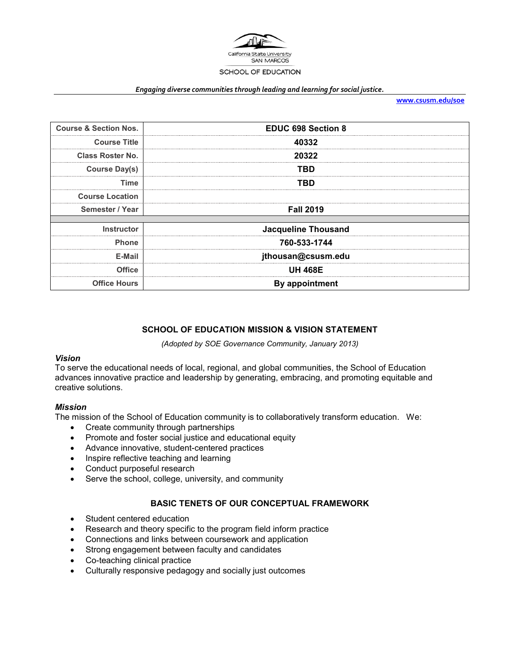

#### *Engaging diverse communities through leading and learning for social justice.*

**[www.csusm.edu/soe](http://www.csusm.edu/soe)**

| <b>Course &amp; Section Nos.</b> | <b>EDUC 698 Section 8</b>  |  |
|----------------------------------|----------------------------|--|
| <b>Course Title</b>              | 40332                      |  |
| <b>Class Roster No.</b>          | 20322                      |  |
| <b>Course Day(s)</b>             | TBD                        |  |
| Time                             | TBD                        |  |
| <b>Course Location</b>           |                            |  |
| Semester / Year                  | <b>Fall 2019</b>           |  |
|                                  |                            |  |
| <b>Instructor</b>                | <b>Jacqueline Thousand</b> |  |
| <b>Phone</b>                     | 760-533-1744               |  |
| E-Mail                           | jthousan@csusm.edu         |  |
| <b>Office</b>                    | <b>UH 468E</b>             |  |
| <b>Office Hours</b>              | <b>By appointment</b>      |  |

#### **SCHOOL OF EDUCATION MISSION & VISION STATEMENT**

*(Adopted by SOE Governance Community, January 2013)*

#### *Vision*

To serve the educational needs of local, regional, and global communities, the School of Education advances innovative practice and leadership by generating, embracing, and promoting equitable and creative solutions.

#### *Mission*

The mission of the School of Education community is to collaboratively transform education. We:

- Create community through partnerships
- Promote and foster social justice and educational equity
- Advance innovative, student-centered practices
- Inspire reflective teaching and learning
- Conduct purposeful research
- Serve the school, college, university, and community

## **BASIC TENETS OF OUR CONCEPTUAL FRAMEWORK**

- Student centered education
- Research and theory specific to the program field inform practice
- Connections and links between coursework and application
- Strong engagement between faculty and candidates
- Co-teaching clinical practice
- Culturally responsive pedagogy and socially just outcomes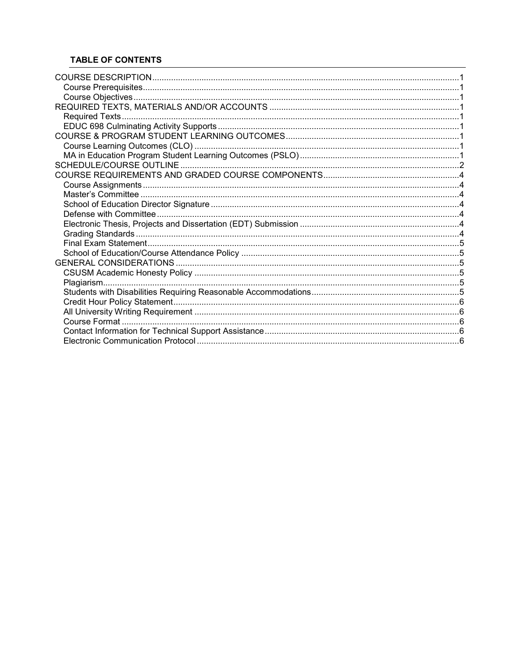# **TABLE OF CONTENTS**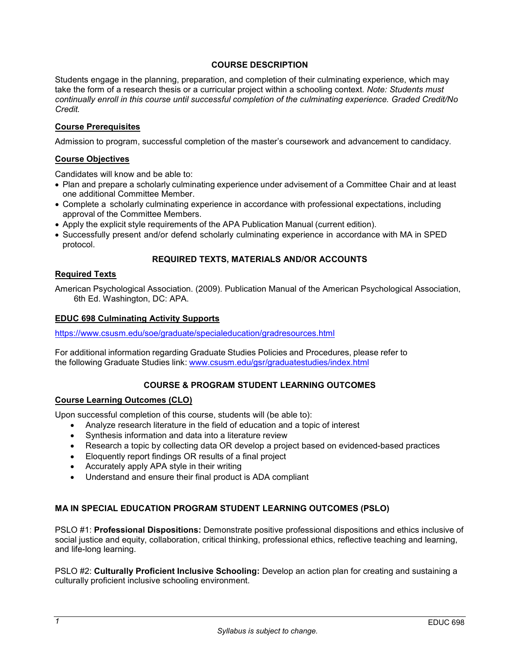## **COURSE DESCRIPTION**

Students engage in the planning, preparation, and completion of their culminating experience, which may take the form of a research thesis or a curricular project within a schooling context. *Note: Students must continually enroll in this course until successful completion of the culminating experience. Graded Credit/No Credit.* 

### **Course Prerequisites**

Admission to program, successful completion of the master's coursework and advancement to candidacy.

### **Course Objectives**

Candidates will know and be able to:

- Plan and prepare a scholarly culminating experience under advisement of a Committee Chair and at least one additional Committee Member.
- Complete a scholarly culminating experience in accordance with professional expectations, including approval of the Committee Members.
- Apply the explicit style requirements of the APA Publication Manual (current edition).
- Successfully present and/or defend scholarly culminating experience in accordance with MA in SPED protocol.

### **REQUIRED TEXTS, MATERIALS AND/OR ACCOUNTS**

#### **Required Texts**

American Psychological Association. (2009). Publication Manual of the American Psychological Association, 6th Ed. Washington, DC: APA.

#### **EDUC 698 Culminating Activity Supports**

<https://www.csusm.edu/soe/graduate/specialeducation/gradresources.html>

For additional information regarding Graduate Studies Policies and Procedures, please refer to the following Graduate Studies link: [www.csusm.edu/gsr/graduatestudies/index.html](http://www.csusm.edu/gsr/graduatestudies/index.html)

### **COURSE & PROGRAM STUDENT LEARNING OUTCOMES**

#### **Course Learning Outcomes (CLO)**

Upon successful completion of this course, students will (be able to):

- Analyze research literature in the field of education and a topic of interest
- Synthesis information and data into a literature review
- Research a topic by collecting data OR develop a project based on evidenced-based practices
- Eloquently report findings OR results of a final project
- Accurately apply APA style in their writing
- Understand and ensure their final product is ADA compliant

### **MA IN SPECIAL EDUCATION PROGRAM STUDENT LEARNING OUTCOMES (PSLO)**

PSLO #1: **Professional Dispositions:** Demonstrate positive professional dispositions and ethics inclusive of social justice and equity, collaboration, critical thinking, professional ethics, reflective teaching and learning, and life-long learning.

PSLO #2: **Culturally Proficient Inclusive Schooling:** Develop an action plan for creating and sustaining a culturally proficient inclusive schooling environment.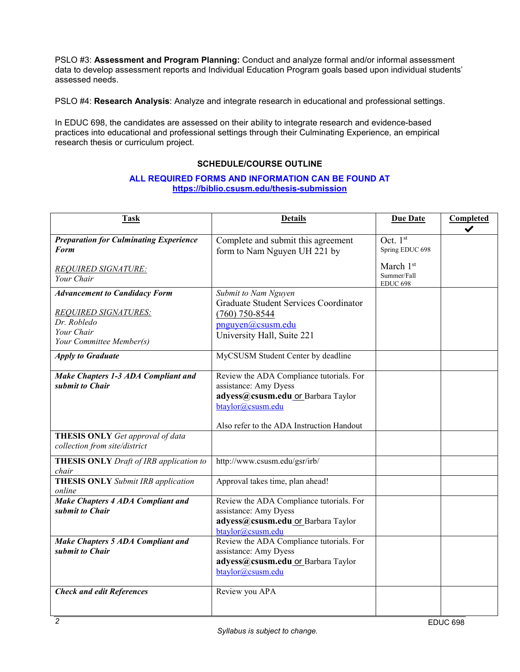PSLO #3: **Assessment and Program Planning:** Conduct and analyze formal and/or informal assessment data to develop assessment reports and Individual Education Program goals based upon individual students' assessed needs.

PSLO #4: **Research Analysis**: Analyze and integrate research in educational and professional settings.

In EDUC 698, the candidates are assessed on their ability to integrate research and evidence-based practices into educational and professional settings through their Culminating Experience, an empirical research thesis or curriculum project.

# **SCHEDULE/COURSE OUTLINE**

### **ALL REQUIRED FORMS AND INFORMATION CAN BE FOUND AT <https://biblio.csusm.edu/thesis-submission>**

| <b>Task</b>                                                                                                                  | <b>Details</b>                                                                                                                                                            | <b>Due Date</b>                                                              | Completed<br>✔ |
|------------------------------------------------------------------------------------------------------------------------------|---------------------------------------------------------------------------------------------------------------------------------------------------------------------------|------------------------------------------------------------------------------|----------------|
| <b>Preparation for Culminating Experience</b><br><b>Form</b><br><b>REQUIRED SIGNATURE:</b><br>Your Chair                     | Complete and submit this agreement<br>form to Nam Nguyen UH 221 by                                                                                                        | Oct. $1st$<br>Spring EDUC 698<br>March 1st<br>Summer/Fall<br><b>EDUC 698</b> |                |
| <b>Advancement to Candidacy Form</b><br><b>REQUIRED SIGNATURES:</b><br>Dr. Robledo<br>Your Chair<br>Your Committee Member(s) | Submit to Nam Nguyen<br><b>Graduate Student Services Coordinator</b><br>$(760)$ 750-8544<br>pnguyen@csusm.edu<br>University Hall, Suite 221                               |                                                                              |                |
| <b>Apply to Graduate</b>                                                                                                     | MyCSUSM Student Center by deadline                                                                                                                                        |                                                                              |                |
| Make Chapters 1-3 ADA Compliant and<br>submit to Chair                                                                       | Review the ADA Compliance tutorials. For<br>assistance: Amy Dyess<br>adyess@csusm.edu or Barbara Taylor<br>btaylor@csusm.edu<br>Also refer to the ADA Instruction Handout |                                                                              |                |
| THESIS ONLY Get approval of data<br>collection from site/district                                                            |                                                                                                                                                                           |                                                                              |                |
| THESIS ONLY Draft of IRB application to<br>chair                                                                             | http://www.csusm.edu/gsr/irb/                                                                                                                                             |                                                                              |                |
| <b>THESIS ONLY</b> Submit IRB application<br>online                                                                          | Approval takes time, plan ahead!                                                                                                                                          |                                                                              |                |
| <b>Make Chapters 4 ADA Compliant and</b><br>submit to Chair                                                                  | Review the ADA Compliance tutorials. For<br>assistance: Amy Dyess<br>adyess@csusm.edu or Barbara Taylor<br>btaylor@csusm.edu                                              |                                                                              |                |
| Make Chapters 5 ADA Compliant and<br>submit to Chair                                                                         | Review the ADA Compliance tutorials. For<br>assistance: Amy Dyess<br>adyess@csusm.edu or Barbara Taylor<br>btaylor@csusm.edu                                              |                                                                              |                |
| <b>Check and edit References</b>                                                                                             | Review you APA                                                                                                                                                            |                                                                              |                |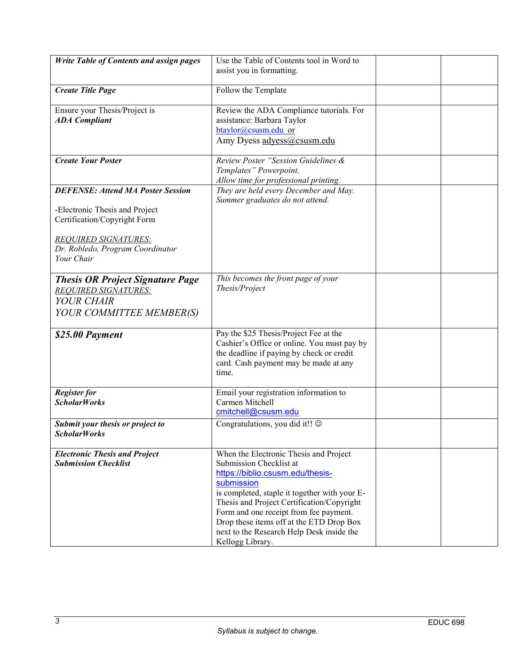| <b>Write Table of Contents and assign pages</b>                                                                                                                                             | Use the Table of Contents tool in Word to<br>assist you in formatting.                                                                                                                                                                                                                                                                                                    |  |
|---------------------------------------------------------------------------------------------------------------------------------------------------------------------------------------------|---------------------------------------------------------------------------------------------------------------------------------------------------------------------------------------------------------------------------------------------------------------------------------------------------------------------------------------------------------------------------|--|
| <b>Create Title Page</b>                                                                                                                                                                    | Follow the Template                                                                                                                                                                                                                                                                                                                                                       |  |
| Ensure your Thesis/Project is<br><b>ADA</b> Compliant                                                                                                                                       | Review the ADA Compliance tutorials. For<br>assistance: Barbara Taylor<br>btaylor@csusm.edu or<br>Amy Dyess adyess@csusm.edu                                                                                                                                                                                                                                              |  |
| <b>Create Your Poster</b>                                                                                                                                                                   | Review Poster "Session Guidelines &<br>Templates" Powerpoint.<br>Allow time for professional printing.                                                                                                                                                                                                                                                                    |  |
| <b>DEFENSE: Attend MA Poster Session</b><br>-Electronic Thesis and Project<br>Certification/Copyright Form<br><b>REQUIRED SIGNATURES:</b><br>Dr. Robledo, Program Coordinator<br>Your Chair | They are held every December and May.<br>Summer graduates do not attend.                                                                                                                                                                                                                                                                                                  |  |
| <b>Thesis OR Project Signature Page</b><br><b>REQUIRED SIGNATURES:</b><br>YOUR CHAIR<br>YOUR COMMITTEE MEMBER(S)                                                                            | This becomes the front page of your<br>Thesis/Project                                                                                                                                                                                                                                                                                                                     |  |
| \$25.00 Payment                                                                                                                                                                             | Pay the \$25 Thesis/Project Fee at the<br>Cashier's Office or online. You must pay by<br>the deadline if paying by check or credit<br>card. Cash payment may be made at any<br>time.                                                                                                                                                                                      |  |
| <b>Register for</b><br><b>ScholarWorks</b>                                                                                                                                                  | Email your registration information to<br>Carmen Mitchell<br>cmitchell@csusm.edu                                                                                                                                                                                                                                                                                          |  |
| Submit your thesis or project to<br><b>ScholarWorks</b>                                                                                                                                     | Congratulations, you did it!! ©                                                                                                                                                                                                                                                                                                                                           |  |
| <b>Electronic Thesis and Project</b><br><b>Submission Checklist</b>                                                                                                                         | When the Electronic Thesis and Project<br>Submission Checklist at<br>https://biblio.csusm.edu/thesis-<br>submission<br>is completed, staple it together with your E-<br>Thesis and Project Certification/Copyright<br>Form and one receipt from fee payment.<br>Drop these items off at the ETD Drop Box<br>next to the Research Help Desk inside the<br>Kellogg Library. |  |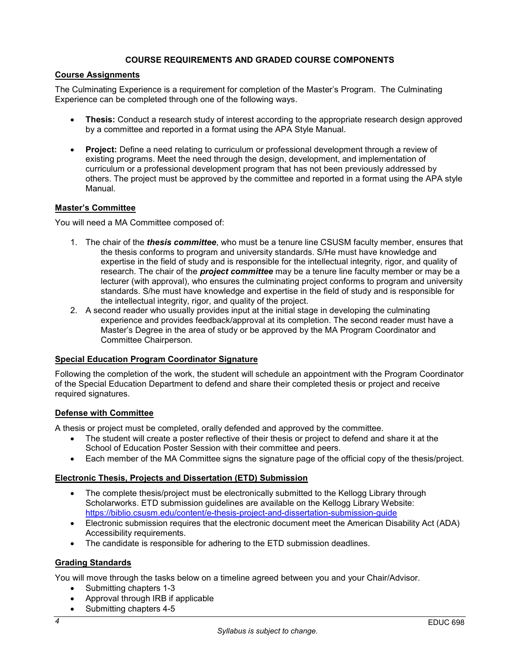### **COURSE REQUIREMENTS AND GRADED COURSE COMPONENTS**

### **Course Assignments**

The Culminating Experience is a requirement for completion of the Master's Program. The Culminating Experience can be completed through one of the following ways.

- **Thesis:** Conduct a research study of interest according to the appropriate research design approved by a committee and reported in a format using the APA Style Manual.
- **Project:** Define a need relating to curriculum or professional development through a review of existing programs. Meet the need through the design, development, and implementation of curriculum or a professional development program that has not been previously addressed by others. The project must be approved by the committee and reported in a format using the APA style Manual.

### **Master's Committee**

You will need a MA Committee composed of:

- 1. The chair of the *thesis committee*, who must be a tenure line CSUSM faculty member, ensures that the thesis conforms to program and university standards. S/He must have knowledge and expertise in the field of study and is responsible for the intellectual integrity, rigor, and quality of research. The chair of the *project committee* may be a tenure line faculty member or may be a lecturer (with approval), who ensures the culminating project conforms to program and university standards. S/he must have knowledge and expertise in the field of study and is responsible for the intellectual integrity, rigor, and quality of the project.
- 2. A second reader who usually provides input at the initial stage in developing the culminating experience and provides feedback/approval at its completion. The second reader must have a Master's Degree in the area of study or be approved by the MA Program Coordinator and Committee Chairperson.

### **Special Education Program Coordinator Signature**

Following the completion of the work, the student will schedule an appointment with the Program Coordinator of the Special Education Department to defend and share their completed thesis or project and receive required signatures.

#### **Defense with Committee**

A thesis or project must be completed, orally defended and approved by the committee.

- The student will create a poster reflective of their thesis or project to defend and share it at the School of Education Poster Session with their committee and peers.
- Each member of the MA Committee signs the signature page of the official copy of the thesis/project.

### **Electronic Thesis, Projects and Dissertation (ETD) Submission**

- The complete thesis/project must be electronically submitted to the Kellogg Library through Scholarworks. ETD submission guidelines are available on the Kellogg Library Website: <https://biblio.csusm.edu/content/e-thesis-project-and-dissertation-submission-guide>
- Electronic submission requires that the electronic document meet the American Disability Act (ADA) Accessibility requirements.
- The candidate is responsible for adhering to the ETD submission deadlines.

### **Grading Standards**

You will move through the tasks below on a timeline agreed between you and your Chair/Advisor.

- Submitting chapters 1-3
- Approval through IRB if applicable
- Submitting chapters 4-5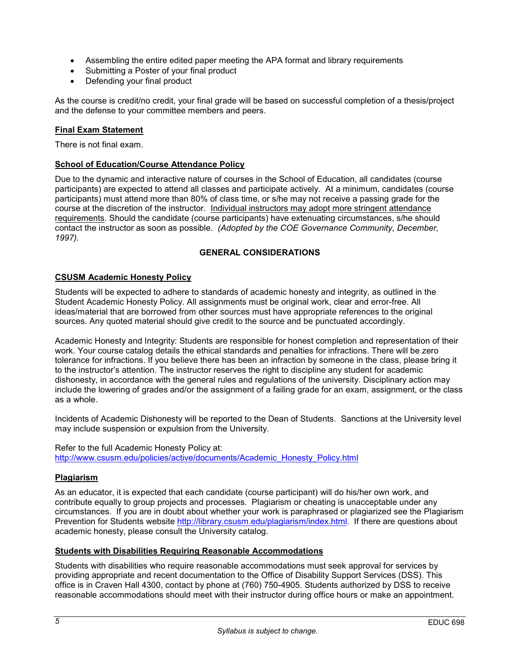- Assembling the entire edited paper meeting the APA format and library requirements
- Submitting a Poster of your final product
- Defending your final product

As the course is credit/no credit, your final grade will be based on successful completion of a thesis/project and the defense to your committee members and peers.

## **Final Exam Statement**

There is not final exam.

### **School of Education/Course Attendance Policy**

Due to the dynamic and interactive nature of courses in the School of Education, all candidates (course participants) are expected to attend all classes and participate actively. At a minimum, candidates (course participants) must attend more than 80% of class time, or s/he may not receive a passing grade for the course at the discretion of the instructor. Individual instructors may adopt more stringent attendance requirements. Should the candidate (course participants) have extenuating circumstances, s/he should contact the instructor as soon as possible. *(Adopted by the COE Governance Community, December, 1997).*

### **GENERAL CONSIDERATIONS**

### **CSUSM Academic Honesty Policy**

Students will be expected to adhere to standards of academic honesty and integrity, as outlined in the Student Academic Honesty Policy. All assignments must be original work, clear and error-free. All ideas/material that are borrowed from other sources must have appropriate references to the original sources. Any quoted material should give credit to the source and be punctuated accordingly.

Academic Honesty and Integrity: Students are responsible for honest completion and representation of their work. Your course catalog details the ethical standards and penalties for infractions. There will be zero tolerance for infractions. If you believe there has been an infraction by someone in the class, please bring it to the instructor's attention. The instructor reserves the right to discipline any student for academic dishonesty, in accordance with the general rules and regulations of the university. Disciplinary action may include the lowering of grades and/or the assignment of a failing grade for an exam, assignment, or the class as a whole.

Incidents of Academic Dishonesty will be reported to the Dean of Students. Sanctions at the University level may include suspension or expulsion from the University.

Refer to the full Academic Honesty Policy at: [http://www.csusm.edu/policies/active/documents/Academic\\_Honesty\\_Policy.html](http://www.csusm.edu/policies/active/documents/Academic_Honesty_Policy.html)

### **Plagiarism**

As an educator, it is expected that each candidate (course participant) will do his/her own work, and contribute equally to group projects and processes. Plagiarism or cheating is unacceptable under any circumstances. If you are in doubt about whether your work is paraphrased or plagiarized see the Plagiarism Prevention for Students website [http://library.csusm.edu/plagiarism/index.html.](http://library.csusm.edu/plagiarism/index.html) If there are questions about academic honesty, please consult the University catalog.

### **Students with Disabilities Requiring Reasonable Accommodations**

Students with disabilities who require reasonable accommodations must seek approval for services by providing appropriate and recent documentation to the Office of Disability Support Services (DSS). This office is in Craven Hall 4300, contact by phone at (760) 750-4905. Students authorized by DSS to receive reasonable accommodations should meet with their instructor during office hours or make an appointment.